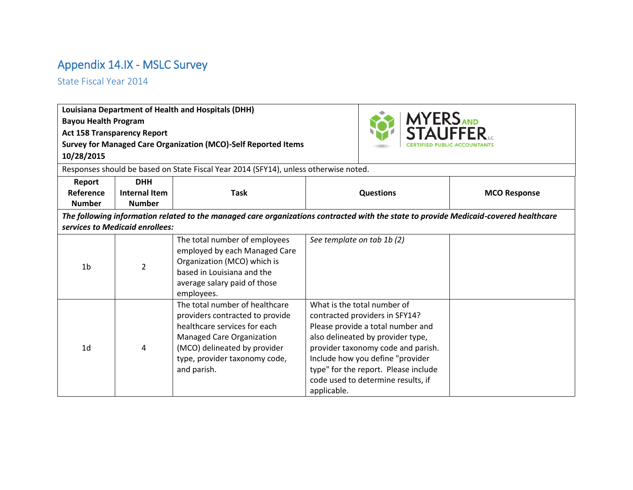## Appendix 14.IX - MSLC Survey

State Fiscal Year 2014

|                             |                                    | Louisiana Department of Health and Hospitals (DHH)                                                                                                                                                                    |                            |                                                                                                                                                                                                                                                                                                 |                     |
|-----------------------------|------------------------------------|-----------------------------------------------------------------------------------------------------------------------------------------------------------------------------------------------------------------------|----------------------------|-------------------------------------------------------------------------------------------------------------------------------------------------------------------------------------------------------------------------------------------------------------------------------------------------|---------------------|
| <b>Bayou Health Program</b> |                                    |                                                                                                                                                                                                                       |                            | <b>MYERS AND STAUFFER</b>                                                                                                                                                                                                                                                                       |                     |
|                             | <b>Act 158 Transparency Report</b> |                                                                                                                                                                                                                       |                            |                                                                                                                                                                                                                                                                                                 |                     |
|                             |                                    | <b>Survey for Managed Care Organization (MCO)-Self Reported Items</b>                                                                                                                                                 |                            |                                                                                                                                                                                                                                                                                                 |                     |
| 10/28/2015                  |                                    |                                                                                                                                                                                                                       |                            |                                                                                                                                                                                                                                                                                                 |                     |
|                             |                                    | Responses should be based on State Fiscal Year 2014 (SFY14), unless otherwise noted.                                                                                                                                  |                            |                                                                                                                                                                                                                                                                                                 |                     |
| Report                      | <b>DHH</b>                         |                                                                                                                                                                                                                       |                            |                                                                                                                                                                                                                                                                                                 |                     |
| Reference                   | <b>Internal Item</b>               | <b>Task</b>                                                                                                                                                                                                           |                            | <b>Questions</b>                                                                                                                                                                                                                                                                                | <b>MCO Response</b> |
| <b>Number</b>               | <b>Number</b>                      |                                                                                                                                                                                                                       |                            |                                                                                                                                                                                                                                                                                                 |                     |
|                             |                                    | The following information related to the managed care organizations contracted with the state to provide Medicaid-covered healthcare                                                                                  |                            |                                                                                                                                                                                                                                                                                                 |                     |
|                             | services to Medicaid enrollees:    |                                                                                                                                                                                                                       |                            |                                                                                                                                                                                                                                                                                                 |                     |
| 1 <sub>b</sub>              | $\overline{2}$                     | The total number of employees<br>employed by each Managed Care<br>Organization (MCO) which is<br>based in Louisiana and the<br>average salary paid of those<br>employees.                                             | See template on tab 1b (2) |                                                                                                                                                                                                                                                                                                 |                     |
| 1 <sub>d</sub>              | 4                                  | The total number of healthcare<br>providers contracted to provide<br>healthcare services for each<br><b>Managed Care Organization</b><br>(MCO) delineated by provider<br>type, provider taxonomy code,<br>and parish. | applicable.                | What is the total number of<br>contracted providers in SFY14?<br>Please provide a total number and<br>also delineated by provider type,<br>provider taxonomy code and parish.<br>Include how you define "provider<br>type" for the report. Please include<br>code used to determine results, if |                     |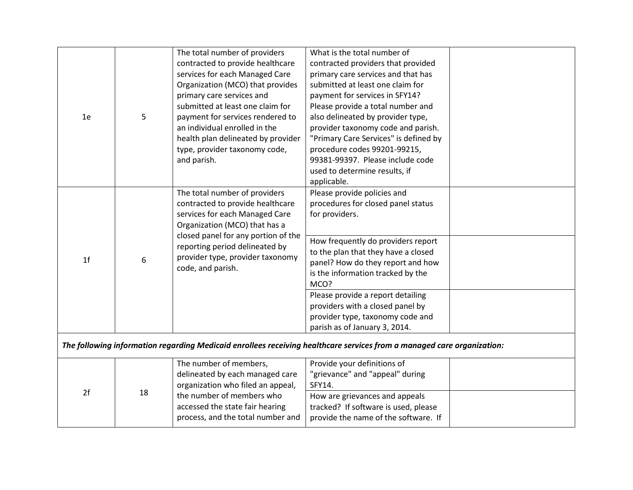| 1e             | 5  | The total number of providers<br>contracted to provide healthcare<br>services for each Managed Care<br>Organization (MCO) that provides<br>primary care services and<br>submitted at least one claim for<br>payment for services rendered to<br>an individual enrolled in the<br>health plan delineated by provider<br>type, provider taxonomy code,<br>and parish. | What is the total number of<br>contracted providers that provided<br>primary care services and that has<br>submitted at least one claim for<br>payment for services in SFY14?<br>Please provide a total number and<br>also delineated by provider type,<br>provider taxonomy code and parish.<br>"Primary Care Services" is defined by<br>procedure codes 99201-99215,<br>99381-99397. Please include code<br>used to determine results, if<br>applicable. |  |
|----------------|----|---------------------------------------------------------------------------------------------------------------------------------------------------------------------------------------------------------------------------------------------------------------------------------------------------------------------------------------------------------------------|------------------------------------------------------------------------------------------------------------------------------------------------------------------------------------------------------------------------------------------------------------------------------------------------------------------------------------------------------------------------------------------------------------------------------------------------------------|--|
| 1 <sub>f</sub> | 6  | The total number of providers<br>contracted to provide healthcare<br>services for each Managed Care<br>Organization (MCO) that has a<br>closed panel for any portion of the<br>reporting period delineated by<br>provider type, provider taxonomy<br>code, and parish.                                                                                              | Please provide policies and<br>procedures for closed panel status<br>for providers.<br>How frequently do providers report<br>to the plan that they have a closed<br>panel? How do they report and how<br>is the information tracked by the<br>MCO?<br>Please provide a report detailing<br>providers with a closed panel by<br>provider type, taxonomy code and<br>parish as of January 3, 2014.                                                           |  |
|                |    |                                                                                                                                                                                                                                                                                                                                                                     | The following information regarding Medicaid enrollees receiving healthcare services from a managed care organization:                                                                                                                                                                                                                                                                                                                                     |  |
| 2f             | 18 | The number of members,<br>delineated by each managed care<br>organization who filed an appeal,<br>the number of members who<br>accessed the state fair hearing<br>process, and the total number and                                                                                                                                                                 | Provide your definitions of<br>"grievance" and "appeal" during<br>SFY14.<br>How are grievances and appeals<br>tracked? If software is used, please<br>provide the name of the software. If                                                                                                                                                                                                                                                                 |  |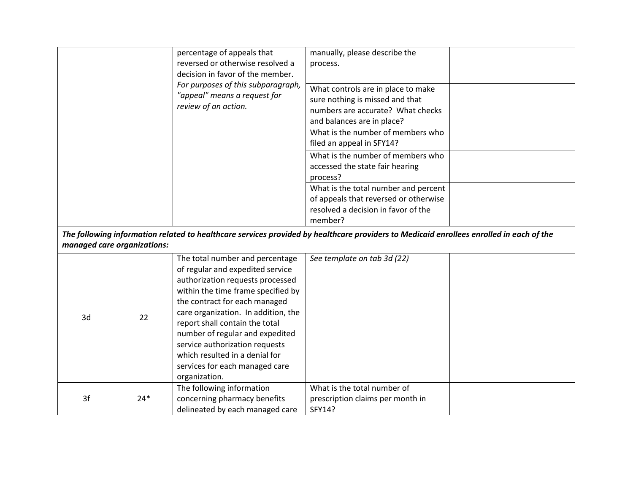|    |                             | percentage of appeals that<br>reversed or otherwise resolved a<br>decision in favor of the member.<br>For purposes of this subparagraph,<br>"appeal" means a request for<br>review of an action.                                                                                                                                                                                                                  | manually, please describe the<br>process.<br>What controls are in place to make<br>sure nothing is missed and that<br>numbers are accurate? What checks<br>and balances are in place?<br>What is the number of members who<br>filed an appeal in SFY14?<br>What is the number of members who<br>accessed the state fair hearing<br>process?<br>What is the total number and percent<br>of appeals that reversed or otherwise<br>resolved a decision in favor of the<br>member? |  |
|----|-----------------------------|-------------------------------------------------------------------------------------------------------------------------------------------------------------------------------------------------------------------------------------------------------------------------------------------------------------------------------------------------------------------------------------------------------------------|--------------------------------------------------------------------------------------------------------------------------------------------------------------------------------------------------------------------------------------------------------------------------------------------------------------------------------------------------------------------------------------------------------------------------------------------------------------------------------|--|
|    | managed care organizations: |                                                                                                                                                                                                                                                                                                                                                                                                                   | The following information related to healthcare services provided by healthcare providers to Medicaid enrollees enrolled in each of the                                                                                                                                                                                                                                                                                                                                        |  |
| 3d | 22                          | The total number and percentage<br>of regular and expedited service<br>authorization requests processed<br>within the time frame specified by<br>the contract for each managed<br>care organization. In addition, the<br>report shall contain the total<br>number of regular and expedited<br>service authorization requests<br>which resulted in a denial for<br>services for each managed care<br>organization. | See template on tab 3d (22)                                                                                                                                                                                                                                                                                                                                                                                                                                                    |  |
| 3f | $24*$                       | The following information<br>concerning pharmacy benefits<br>delineated by each managed care                                                                                                                                                                                                                                                                                                                      | What is the total number of<br>prescription claims per month in<br>SFY14?                                                                                                                                                                                                                                                                                                                                                                                                      |  |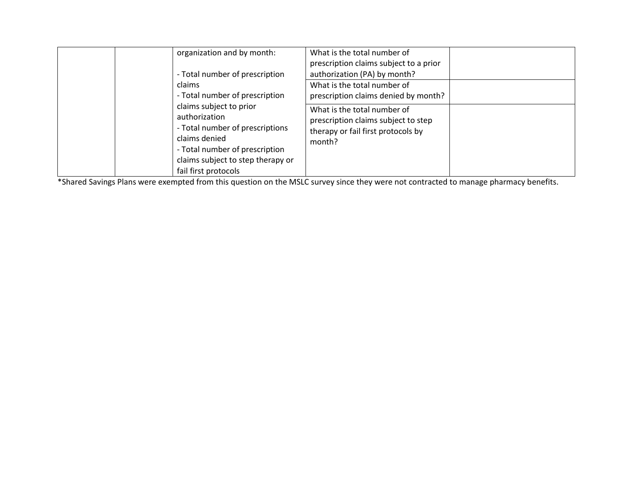| organization and by month:<br>- Total number of prescription<br>claims<br>- Total number of prescription                                                                                    | What is the total number of<br>prescription claims subject to a prior<br>authorization (PA) by month?<br>What is the total number of<br>prescription claims denied by month? |  |
|---------------------------------------------------------------------------------------------------------------------------------------------------------------------------------------------|------------------------------------------------------------------------------------------------------------------------------------------------------------------------------|--|
| claims subject to prior<br>authorization<br>- Total number of prescriptions<br>claims denied<br>- Total number of prescription<br>claims subject to step therapy or<br>fail first protocols | What is the total number of<br>prescription claims subject to step<br>therapy or fail first protocols by<br>month?                                                           |  |

\*Shared Savings Plans were exempted from this question on the MSLC survey since they were not contracted to manage pharmacy benefits.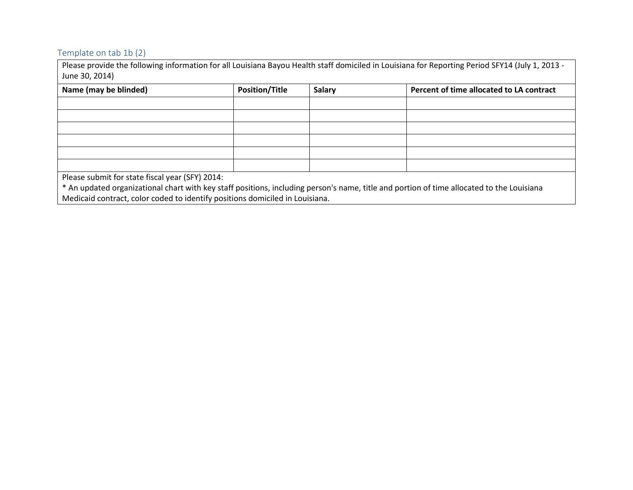## Template on tab 1b (2)

Please provide the following information for all Louisiana Bayou Health staff domiciled in Louisiana for Reporting Period SFY14 (July 1, 2013 - June 30, 2014)

| Name (may be blinded)                                                                                                                     | <b>Position/Title</b> | <b>Salary</b> | Percent of time allocated to LA contract |  |
|-------------------------------------------------------------------------------------------------------------------------------------------|-----------------------|---------------|------------------------------------------|--|
|                                                                                                                                           |                       |               |                                          |  |
|                                                                                                                                           |                       |               |                                          |  |
|                                                                                                                                           |                       |               |                                          |  |
|                                                                                                                                           |                       |               |                                          |  |
|                                                                                                                                           |                       |               |                                          |  |
|                                                                                                                                           |                       |               |                                          |  |
| Please submit for state fiscal year (SFY) 2014:                                                                                           |                       |               |                                          |  |
| * An updated organizational chart with key staff positions, including person's name, title and portion of time allocated to the Louisiana |                       |               |                                          |  |

Medicaid contract, color coded to identify positions domiciled in Louisiana.